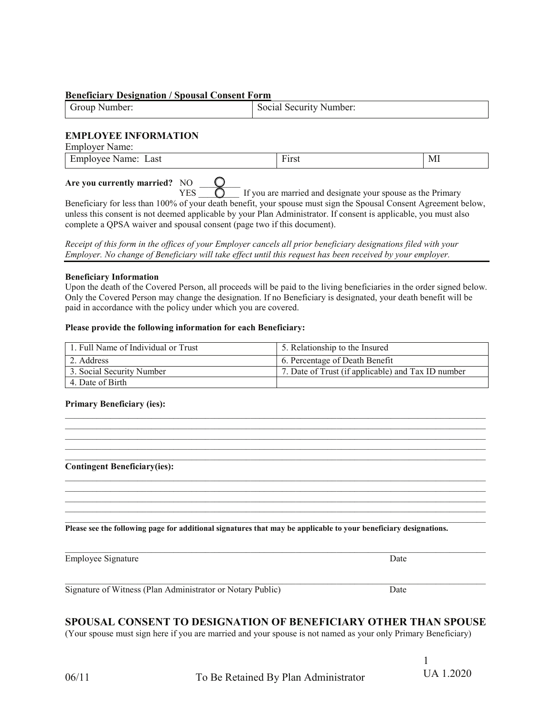### **Beneficiary Designation / Spousal Consent Form**

| droup   | Social.            |
|---------|--------------------|
| Number: | . Security Number: |

## **EMPLOYEE INFORMATION**

| <b>Employer Name:</b>         |       |   |
|-------------------------------|-------|---|
| Employee Name: Last           | First | M |
| Are you currently married? NO |       |   |

 $YES$   $\overline{O}$  If you are married and designate your spouse as the Primary Beneficiary for less than 100% of your death benefit, your spouse must sign the Spousal Consent Agreement below, unless this consent is not deemed applicable by your Plan Administrator. If consent is applicable, you must also complete a QPSA waiver and spousal consent (page two if this document).

| Receipt of this form in the offices of your Employer cancels all prior beneficiary designations filed with your |  |  |  |
|-----------------------------------------------------------------------------------------------------------------|--|--|--|
| Employer. No change of Beneficiary will take effect until this request has been received by your employer.      |  |  |  |

#### **Beneficiary Information**

Upon the death of the Covered Person, all proceeds will be paid to the living beneficiaries in the order signed below. Only the Covered Person may change the designation. If no Beneficiary is designated, your death benefit will be paid in accordance with the policy under which you are covered.

## **Please provide the following information for each Beneficiary:**

| 1. Full Name of Individual or Trust | 5. Relationship to the Insured                     |
|-------------------------------------|----------------------------------------------------|
| 2. Address                          | 16. Percentage of Death Benefit                    |
| 3. Social Security Number           | 7. Date of Trust (if applicable) and Tax ID number |
| 4. Date of Birth                    |                                                    |

 $\mathcal{L}_\mathcal{L} = \{ \mathcal{L}_\mathcal{L} = \{ \mathcal{L}_\mathcal{L} = \{ \mathcal{L}_\mathcal{L} = \{ \mathcal{L}_\mathcal{L} = \{ \mathcal{L}_\mathcal{L} = \{ \mathcal{L}_\mathcal{L} = \{ \mathcal{L}_\mathcal{L} = \{ \mathcal{L}_\mathcal{L} = \{ \mathcal{L}_\mathcal{L} = \{ \mathcal{L}_\mathcal{L} = \{ \mathcal{L}_\mathcal{L} = \{ \mathcal{L}_\mathcal{L} = \{ \mathcal{L}_\mathcal{L} = \{ \mathcal{L}_\mathcal{$  $\mathcal{L}_\mathcal{L} = \{ \mathcal{L}_\mathcal{L} = \{ \mathcal{L}_\mathcal{L} = \{ \mathcal{L}_\mathcal{L} = \{ \mathcal{L}_\mathcal{L} = \{ \mathcal{L}_\mathcal{L} = \{ \mathcal{L}_\mathcal{L} = \{ \mathcal{L}_\mathcal{L} = \{ \mathcal{L}_\mathcal{L} = \{ \mathcal{L}_\mathcal{L} = \{ \mathcal{L}_\mathcal{L} = \{ \mathcal{L}_\mathcal{L} = \{ \mathcal{L}_\mathcal{L} = \{ \mathcal{L}_\mathcal{L} = \{ \mathcal{L}_\mathcal{$ 

 $\mathcal{L}_\mathcal{L} = \{ \mathcal{L}_\mathcal{L} = \{ \mathcal{L}_\mathcal{L} = \{ \mathcal{L}_\mathcal{L} = \{ \mathcal{L}_\mathcal{L} = \{ \mathcal{L}_\mathcal{L} = \{ \mathcal{L}_\mathcal{L} = \{ \mathcal{L}_\mathcal{L} = \{ \mathcal{L}_\mathcal{L} = \{ \mathcal{L}_\mathcal{L} = \{ \mathcal{L}_\mathcal{L} = \{ \mathcal{L}_\mathcal{L} = \{ \mathcal{L}_\mathcal{L} = \{ \mathcal{L}_\mathcal{L} = \{ \mathcal{L}_\mathcal{$ 

 $\mathcal{L}_\mathcal{L} = \{ \mathcal{L}_\mathcal{L} = \{ \mathcal{L}_\mathcal{L} = \{ \mathcal{L}_\mathcal{L} = \{ \mathcal{L}_\mathcal{L} = \{ \mathcal{L}_\mathcal{L} = \{ \mathcal{L}_\mathcal{L} = \{ \mathcal{L}_\mathcal{L} = \{ \mathcal{L}_\mathcal{L} = \{ \mathcal{L}_\mathcal{L} = \{ \mathcal{L}_\mathcal{L} = \{ \mathcal{L}_\mathcal{L} = \{ \mathcal{L}_\mathcal{L} = \{ \mathcal{L}_\mathcal{L} = \{ \mathcal{L}_\mathcal{$  $\mathcal{L}_\mathcal{L} = \{ \mathcal{L}_\mathcal{L} = \{ \mathcal{L}_\mathcal{L} = \{ \mathcal{L}_\mathcal{L} = \{ \mathcal{L}_\mathcal{L} = \{ \mathcal{L}_\mathcal{L} = \{ \mathcal{L}_\mathcal{L} = \{ \mathcal{L}_\mathcal{L} = \{ \mathcal{L}_\mathcal{L} = \{ \mathcal{L}_\mathcal{L} = \{ \mathcal{L}_\mathcal{L} = \{ \mathcal{L}_\mathcal{L} = \{ \mathcal{L}_\mathcal{L} = \{ \mathcal{L}_\mathcal{L} = \{ \mathcal{L}_\mathcal{$ 

 $\mathcal{L}_\mathcal{L} = \{ \mathcal{L}_\mathcal{L} = \{ \mathcal{L}_\mathcal{L} = \{ \mathcal{L}_\mathcal{L} = \{ \mathcal{L}_\mathcal{L} = \{ \mathcal{L}_\mathcal{L} = \{ \mathcal{L}_\mathcal{L} = \{ \mathcal{L}_\mathcal{L} = \{ \mathcal{L}_\mathcal{L} = \{ \mathcal{L}_\mathcal{L} = \{ \mathcal{L}_\mathcal{L} = \{ \mathcal{L}_\mathcal{L} = \{ \mathcal{L}_\mathcal{L} = \{ \mathcal{L}_\mathcal{L} = \{ \mathcal{L}_\mathcal{$  $\mathcal{L}_\mathcal{L} = \mathcal{L}_\mathcal{L}$ 

#### **Primary Beneficiary (ies):**

**Contingent Beneficiary(ies):**

**Please see the following page for additional signatures that may be applicable to your beneficiary designations.**

Employee Signature Date

Signature of Witness (Plan Administrator or Notary Public) Date

# **SPOUSAL CONSENT TO DESIGNATION OF BENEFICIARY OTHER THAN SPOUSE**

(Your spouse must sign here if you are married and your spouse is not named as your only Primary Beneficiary)

1 UA 1.2020